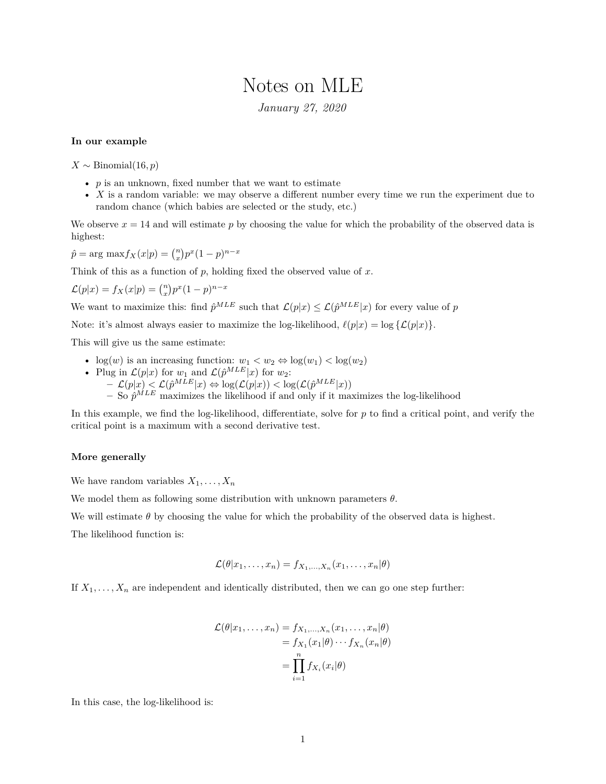## Notes on MLE

*January 27, 2020*

## **In our example**

 $X \sim \text{Binomial}(16, p)$ 

- $p$  is an unknown, fixed number that we want to estimate
- *X* is a random variable: we may observe a different number every time we run the experiment due to random chance (which babies are selected or the study, etc.)

We observe  $x = 14$  and will estimate p by choosing the value for which the probability of the observed data is highest:

 $\hat{p} = \arg \max f_X(x|p) = {n \choose x} p^x (1-p)^{n-x}$ 

Think of this as a function of *p*, holding fixed the observed value of *x*.

$$
\mathcal{L}(p|x) = f_X(x|p) = \binom{n}{x} p^x (1-p)^{n-x}
$$

We want to maximize this: find  $\hat{p}^{MLE}$  such that  $\mathcal{L}(p|x) \leq \mathcal{L}(\hat{p}^{MLE}|x)$  for every value of *p* 

Note: it's almost always easier to maximize the log-likelihood,  $\ell(p|x) = \log {\{\mathcal{L}(p|x)\}}$ .

This will give us the same estimate:

- $\log(w)$  is an increasing function:  $w_1 < w_2 \Leftrightarrow \log(w_1) < \log(w_2)$
- Plug in  $\mathcal{L}(p|x)$  for  $w_1$  and  $\mathcal{L}(\hat{p}^{MLE}|x)$  for  $w_2$ :  $\mathcal{L}(p|x) < \mathcal{L}(\hat{p}^{MLE}|x) \Leftrightarrow \log(\mathcal{L}(p|x)) < \log(\mathcal{L}(\hat{p}^{MLE}|x))$  $-$  So  $\hat{p}^{MLE}$  maximizes the likelihood if and only if it maximizes the log-likelihood

In this example, we find the log-likelihood, differentiate, solve for *p* to find a critical point, and verify the critical point is a maximum with a second derivative test.

## **More generally**

We have random variables  $X_1, \ldots, X_n$ 

We model them as following some distribution with unknown parameters *θ*.

We will estimate  $\theta$  by choosing the value for which the probability of the observed data is highest.

The likelihood function is:

$$
\mathcal{L}(\theta|x_1,\ldots,x_n)=f_{X_1,\ldots,X_n}(x_1,\ldots,x_n|\theta)
$$

If  $X_1, \ldots, X_n$  are independent and identically distributed, then we can go one step further:

$$
\mathcal{L}(\theta|x_1,\ldots,x_n) = f_{X_1,\ldots,X_n}(x_1,\ldots,x_n|\theta)
$$

$$
= f_{X_1}(x_1|\theta)\cdots f_{X_n}(x_n|\theta)
$$

$$
= \prod_{i=1}^n f_{X_i}(x_i|\theta)
$$

In this case, the log-likelihood is: